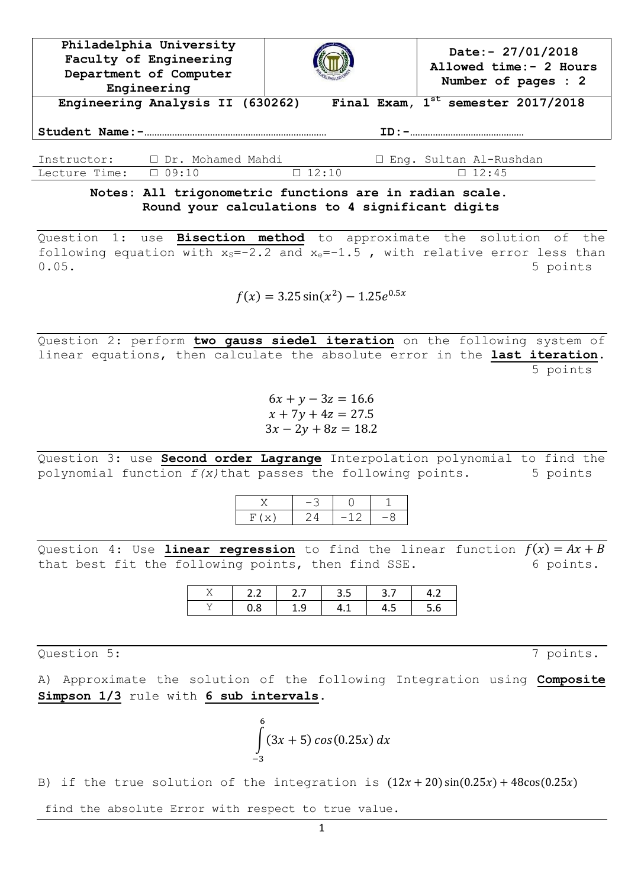| Philadelphia University<br>Faculty of Engineering<br>Department of Computer<br>Engineering |                                  |              |  | Date:- $27/01/2018$<br>Allowed time:- 2 Hours<br>Number of pages : 2 |  |  |  |
|--------------------------------------------------------------------------------------------|----------------------------------|--------------|--|----------------------------------------------------------------------|--|--|--|
|                                                                                            | Engineering Analysis II (630262) |              |  | Final Exam, $1^{st}$ semester 2017/2018                              |  |  |  |
|                                                                                            |                                  |              |  |                                                                      |  |  |  |
| Instructor:                                                                                | $\Box$ Dr. Mohamed Mahdi         |              |  | □ Eng. Sultan Al-Rushdan                                             |  |  |  |
| Lecture Time:                                                                              | $\Box$ 09:10                     | $\Box$ 12:10 |  | $\Box$ 12:45                                                         |  |  |  |

## **Notes: All trigonometric functions are in radian scale. Round your calculations to 4 significant digits**

Question 1: use **Bisection method** to approximate the solution of the following equation with  $x_s=-2.2$  and  $x_e=-1.5$ , with relative error less than 0.05. 5 points

$$
f(x) = 3.25 \sin(x^2) - 1.25e^{0.5x}
$$

Question 2: perform **two gauss siedel iteration** on the following system of linear equations, then calculate the absolute error in the **last iteration**. 5 points

> $6x + y - 3z = 16.6$  $x + 7y + 4z = 27.5$  $3x - 2y + 8z = 18.2$

Question 3: use **Second order Lagrange** Interpolation polynomial to find the polynomial function *f(x)*that passes the following points. 5 points

Question 4: Use **linear regression** to find the linear function  $f(x) = Ax + B$ that best fit the following points, then find SSE. 6 points.

| -- |   | . . |            |  |
|----|---|-----|------------|--|
|    | U |     | <b>T.L</b> |  |

Question 5: 7 points.

A) Approximate the solution of the following Integration using **Composite Simpson 1/3** rule with **6 sub intervals**.

$$
\int_{-3}^{6} (3x + 5) \cos(0.25x) \, dx
$$

B) if the true solution of the integration is  $(12x + 20)\sin(0.25x) + 48\cos(0.25x)$ 

find the absolute Error with respect to true value.